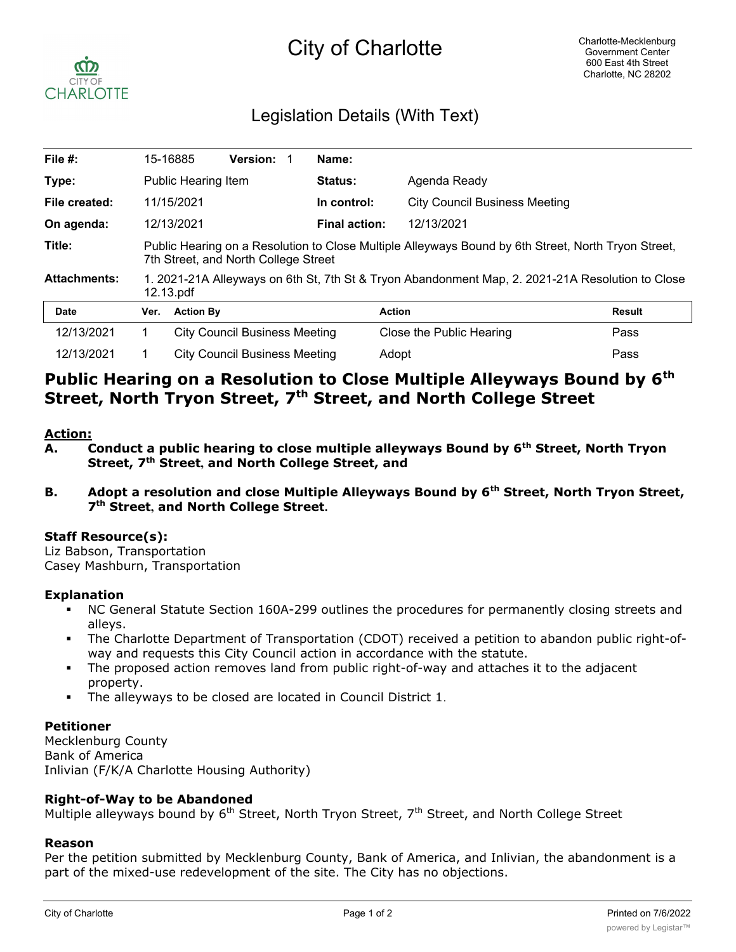# City of Charlotte



# Legislation Details (With Text)

| File $#$ :          |                                                                                                                                             | 15-16885                             | <b>Version:</b>                      |  | Name:                |                                      |               |
|---------------------|---------------------------------------------------------------------------------------------------------------------------------------------|--------------------------------------|--------------------------------------|--|----------------------|--------------------------------------|---------------|
| Type:               |                                                                                                                                             | <b>Public Hearing Item</b>           |                                      |  | Status:              | Agenda Ready                         |               |
| File created:       |                                                                                                                                             | 11/15/2021                           |                                      |  | In control:          | <b>City Council Business Meeting</b> |               |
| On agenda:          |                                                                                                                                             | 12/13/2021                           |                                      |  | <b>Final action:</b> | 12/13/2021                           |               |
| Title:              | Public Hearing on a Resolution to Close Multiple Alleyways Bound by 6th Street, North Tryon Street,<br>7th Street, and North College Street |                                      |                                      |  |                      |                                      |               |
| <b>Attachments:</b> | 1. 2021-21A Alleyways on 6th St, 7th St & Tryon Abandonment Map, 2. 2021-21A Resolution to Close<br>12.13.pdf                               |                                      |                                      |  |                      |                                      |               |
| <b>Date</b>         | Ver.                                                                                                                                        | <b>Action By</b>                     |                                      |  | <b>Action</b>        |                                      | <b>Result</b> |
| 12/13/2021          |                                                                                                                                             |                                      | <b>City Council Business Meeting</b> |  |                      | Close the Public Hearing             | Pass          |
| 12/13/2021          |                                                                                                                                             | <b>City Council Business Meeting</b> |                                      |  | Adopt<br>Pass        |                                      |               |

# **Public Hearing on a Resolution to Close Multiple Alleyways Bound by 6th Street, North Tryon Street, 7th Street, and North College Street**

#### **Action:**

- A. Conduct a public hearing to close multiple alleyways Bound by 6<sup>th</sup> Street, North Tryon **Street, 7th Street, and North College Street, and**
- **B. Adopt a resolution and close Multiple Alleyways Bound by 6th Street, North Tryon Street, 7th Street, and North College Street.**

### **Staff Resource(s):**

Liz Babson, Transportation Casey Mashburn, Transportation

#### **Explanation**

- § NC General Statute Section 160A-299 outlines the procedures for permanently closing streets and alleys.
- The Charlotte Department of Transportation (CDOT) received a petition to abandon public right-ofway and requests this City Council action in accordance with the statute.
- The proposed action removes land from public right-of-way and attaches it to the adjacent property.
- The alleyways to be closed are located in Council District 1.

### **Petitioner**

Mecklenburg County Bank of America Inlivian (F/K/A Charlotte Housing Authority)

### **Right-of-Way to be Abandoned**

Multiple alleyways bound by 6<sup>th</sup> Street, North Tryon Street, 7<sup>th</sup> Street, and North College Street

#### **Reason**

Per the petition submitted by Mecklenburg County, Bank of America, and Inlivian, the abandonment is a part of the mixed-use redevelopment of the site. The City has no objections.